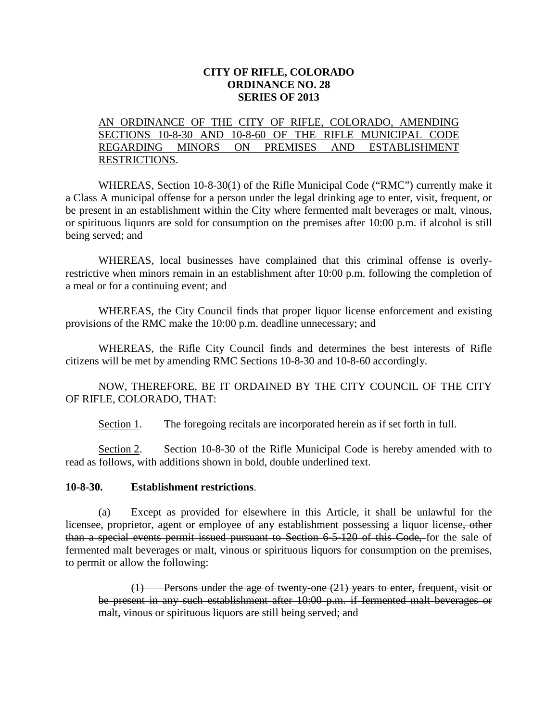## **CITY OF RIFLE, COLORADO ORDINANCE NO. 28 SERIES OF 2013**

## AN ORDINANCE OF THE CITY OF RIFLE, COLORADO, AMENDING SECTIONS 10-8-30 AND 10-8-60 OF THE RIFLE MUNICIPAL CODE REGARDING MINORS ON PREMISES AND ESTABLISHMENT RESTRICTIONS.

WHEREAS, Section 10-8-30(1) of the Rifle Municipal Code ("RMC") currently make it a Class A municipal offense for a person under the legal drinking age to enter, visit, frequent, or be present in an establishment within the City where fermented malt beverages or malt, vinous, or spirituous liquors are sold for consumption on the premises after 10:00 p.m. if alcohol is still being served; and

WHEREAS, local businesses have complained that this criminal offense is overlyrestrictive when minors remain in an establishment after 10:00 p.m. following the completion of a meal or for a continuing event; and

WHEREAS, the City Council finds that proper liquor license enforcement and existing provisions of the RMC make the 10:00 p.m. deadline unnecessary; and

WHEREAS, the Rifle City Council finds and determines the best interests of Rifle citizens will be met by amending RMC Sections 10-8-30 and 10-8-60 accordingly.

NOW, THEREFORE, BE IT ORDAINED BY THE CITY COUNCIL OF THE CITY OF RIFLE, COLORADO, THAT:

Section 1. The foregoing recitals are incorporated herein as if set forth in full.

Section 2. Section 10-8-30 of the Rifle Municipal Code is hereby amended with to read as follows, with additions shown in bold, double underlined text.

## **10-8-30. Establishment restrictions**.

(a) Except as provided for elsewhere in this Article, it shall be unlawful for the licensee, proprietor, agent or employee of any establishment possessing a liquor license, other than a special events permit issued pursuant to Section 6-5-120 of this Code, for the sale of fermented malt beverages or malt, vinous or spirituous liquors for consumption on the premises, to permit or allow the following:

(1) Persons under the age of twenty-one (21) years to enter, frequent, visit or be present in any such establishment after 10:00 p.m. if fermented malt beverages or malt, vinous or spirituous liquors are still being served; and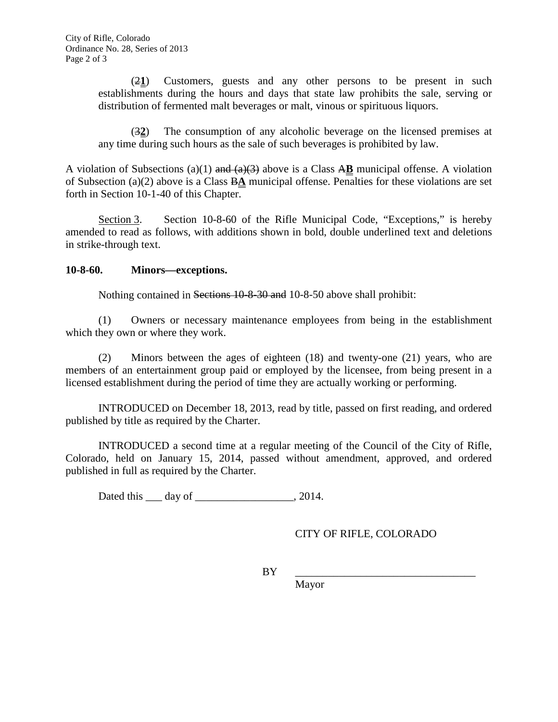(2**1**) Customers, guests and any other persons to be present in such establishments during the hours and days that state law prohibits the sale, serving or distribution of fermented malt beverages or malt, vinous or spirituous liquors.

(3**2**) The consumption of any alcoholic beverage on the licensed premises at any time during such hours as the sale of such beverages is prohibited by law.

A violation of Subsections (a)(1) and (a)(3) above is a Class A**B** municipal offense. A violation of Subsection (a)(2) above is a Class B**A** municipal offense. Penalties for these violations are set forth in Section 10-1-40 of this Chapter.

Section 3. Section 10-8-60 of the Rifle Municipal Code, "Exceptions," is hereby amended to read as follows, with additions shown in bold, double underlined text and deletions in strike-through text.

## **10-8-60. Minors—exceptions.**

Nothing contained in Sections 10-8-30 and 10-8-50 above shall prohibit:

(1) Owners or necessary maintenance employees from being in the establishment which they own or where they work.

(2) Minors between the ages of eighteen (18) and twenty-one (21) years, who are members of an entertainment group paid or employed by the licensee, from being present in a licensed establishment during the period of time they are actually working or performing.

INTRODUCED on December 18, 2013, read by title, passed on first reading, and ordered published by title as required by the Charter.

INTRODUCED a second time at a regular meeting of the Council of the City of Rifle, Colorado, held on January 15, 2014, passed without amendment, approved, and ordered published in full as required by the Charter.

Dated this \_\_\_\_ day of \_\_\_\_\_\_\_\_\_\_\_\_\_\_\_\_\_\_\_\_\_, 2014.

CITY OF RIFLE, COLORADO

BY \_\_\_\_\_\_\_\_\_\_\_\_\_\_\_\_\_\_\_\_\_\_\_\_\_\_\_\_\_\_\_\_\_

Mayor